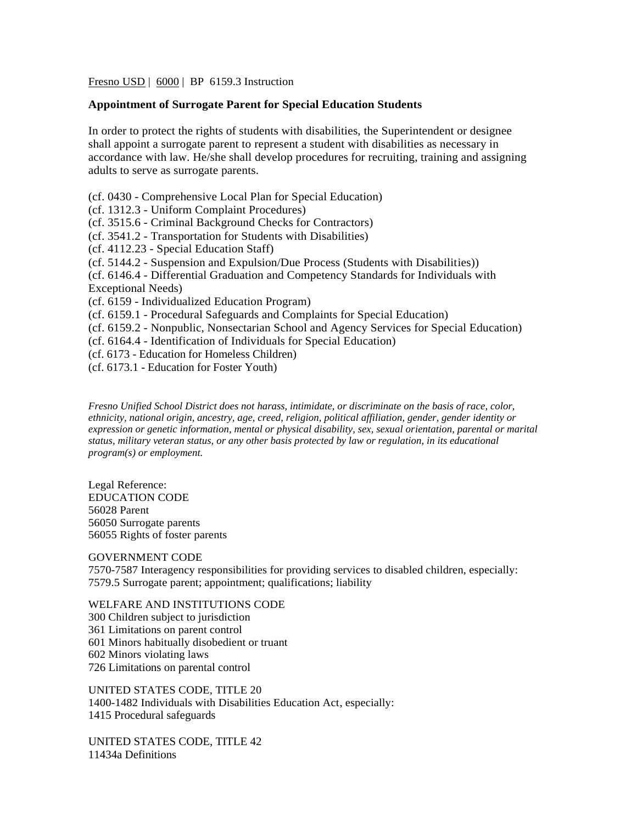Fresno USD | 6000 | BP 6159.3 Instruction

## **Appointment of Surrogate Parent for Special Education Students**

In order to protect the rights of students with disabilities, the Superintendent or designee shall appoint a surrogate parent to represent a student with disabilities as necessary in accordance with law. He/she shall develop procedures for recruiting, training and assigning adults to serve as surrogate parents.

- (cf. 0430 Comprehensive Local Plan for Special Education)
- (cf. 1312.3 Uniform Complaint Procedures)
- (cf. 3515.6 Criminal Background Checks for Contractors)
- (cf. 3541.2 Transportation for Students with Disabilities)
- (cf. 4112.23 Special Education Staff)
- (cf. 5144.2 Suspension and Expulsion/Due Process (Students with Disabilities))
- (cf. 6146.4 Differential Graduation and Competency Standards for Individuals with
- Exceptional Needs)
- (cf. 6159 Individualized Education Program)
- (cf. 6159.1 Procedural Safeguards and Complaints for Special Education)
- (cf. 6159.2 Nonpublic, Nonsectarian School and Agency Services for Special Education)
- (cf. 6164.4 Identification of Individuals for Special Education)
- (cf. 6173 Education for Homeless Children)
- (cf. 6173.1 Education for Foster Youth)

*Fresno Unified School District does not harass, intimidate, or discriminate on the basis of race, color, ethnicity, national origin, ancestry, age, creed, religion, political affiliation, gender, gender identity or expression or genetic information, mental or physical disability, sex, sexual orientation, parental or marital status, military veteran status, or any other basis protected by law or regulation, in its educational program(s) or employment.*

Legal Reference: EDUCATION CODE 56028 Parent 56050 Surrogate parents 56055 Rights of foster parents

## GOVERNMENT CODE

7570-7587 Interagency responsibilities for providing services to disabled children, especially: 7579.5 Surrogate parent; appointment; qualifications; liability

WELFARE AND INSTITUTIONS CODE

- 300 Children subject to jurisdiction
- 361 Limitations on parent control
- 601 Minors habitually disobedient or truant
- 602 Minors violating laws
- 726 Limitations on parental control

UNITED STATES CODE, TITLE 20 1400-1482 Individuals with Disabilities Education Act, especially: 1415 Procedural safeguards

UNITED STATES CODE, TITLE 42 11434a Definitions